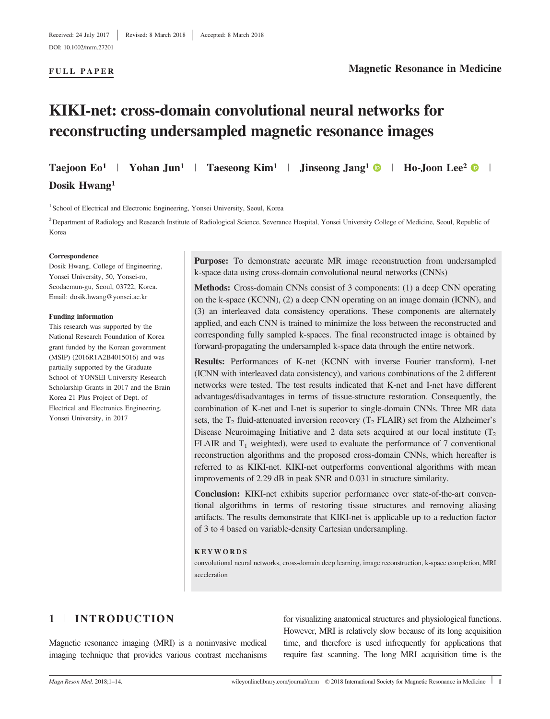#### FULL PAPER

## Magnetic Resonance in Medicine

# KIKI-net: cross-domain convolutional neural networks for reconstructing undersampled magnetic resonance images

Taejoon Eo<sup>1</sup> | Yohan Jun<sup>1</sup> | Taeseong Kim<sup>1</sup> | Jinseong Jang<sup>1</sup> | Ho-Joon Lee<sup>2</sup> |

Dosik Hwang1

<sup>1</sup> School of Electrical and Electronic Engineering, Yonsei University, Seoul, Korea

<sup>2</sup> Department of Radiology and Research Institute of Radiological Science, Severance Hospital, Yonsei University College of Medicine, Seoul, Republic of Korea

#### Correspondence

Dosik Hwang, College of Engineering, Yonsei University, 50, Yonsei-ro, Seodaemun-gu, Seoul, 03722, Korea. Email: dosik.hwang@yonsei.ac.kr

#### Funding information

This research was supported by the National Research Foundation of Korea grant funded by the Korean government (MSIP) (2016R1A2B4015016) and was partially supported by the Graduate School of YONSEI University Research Scholarship Grants in 2017 and the Brain Korea 21 Plus Project of Dept. of Electrical and Electronics Engineering, Yonsei University, in 2017

Purpose: To demonstrate accurate MR image reconstruction from undersampled k-space data using cross-domain convolutional neural networks (CNNs)

Methods: Cross-domain CNNs consist of 3 components: (1) a deep CNN operating on the k-space (KCNN), (2) a deep CNN operating on an image domain (ICNN), and (3) an interleaved data consistency operations. These components are alternately applied, and each CNN is trained to minimize the loss between the reconstructed and corresponding fully sampled k-spaces. The final reconstructed image is obtained by forward-propagating the undersampled k-space data through the entire network.

Results: Performances of K-net (KCNN with inverse Fourier transform), I-net (ICNN with interleaved data consistency), and various combinations of the 2 different networks were tested. The test results indicated that K-net and I-net have different advantages/disadvantages in terms of tissue-structure restoration. Consequently, the combination of K-net and I-net is superior to single-domain CNNs. Three MR data sets, the  $T_2$  fluid-attenuated inversion recovery ( $T_2$  FLAIR) set from the Alzheimer's Disease Neuroimaging Initiative and 2 data sets acquired at our local institute  $(T_2)$ FLAIR and  $T_1$  weighted), were used to evaluate the performance of 7 conventional reconstruction algorithms and the proposed cross-domain CNNs, which hereafter is referred to as KIKI-net. KIKI-net outperforms conventional algorithms with mean improvements of 2.29 dB in peak SNR and 0.031 in structure similarity.

Conclusion: KIKI-net exhibits superior performance over state-of-the-art conventional algorithms in terms of restoring tissue structures and removing aliasing artifacts. The results demonstrate that KIKI-net is applicable up to a reduction factor of 3 to 4 based on variable-density Cartesian undersampling.

#### **KEYWORDS**

convolutional neural networks, cross-domain deep learning, image reconstruction, k-space completion, MRI acceleration

# 1 <sup>|</sup> INTRODUCTION

Magnetic resonance imaging (MRI) is a noninvasive medical imaging technique that provides various contrast mechanisms

for visualizing anatomical structures and physiological functions. However, MRI is relatively slow because of its long acquisition time, and therefore is used infrequently for applications that require fast scanning. The long MRI acquisition time is the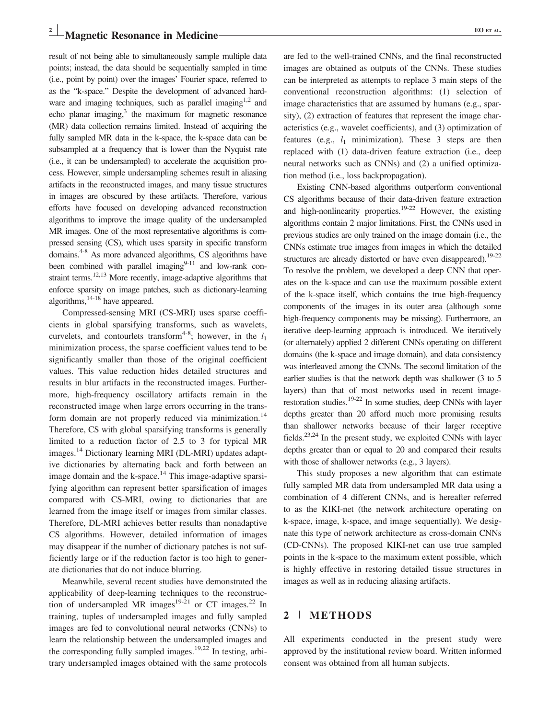result of not being able to simultaneously sample multiple data points; instead, the data should be sequentially sampled in time (i.e., point by point) over the images' Fourier space, referred to as the "k-space." Despite the development of advanced hardware and imaging techniques, such as parallel imaging<sup>1,2</sup> and echo planar imaging, $3$  the maximum for magnetic resonance (MR) data collection remains limited. Instead of acquiring the fully sampled MR data in the k-space, the k-space data can be subsampled at a frequency that is lower than the Nyquist rate (i.e., it can be undersampled) to accelerate the acquisition process. However, simple undersampling schemes result in aliasing artifacts in the reconstructed images, and many tissue structures in images are obscured by these artifacts. Therefore, various efforts have focused on developing advanced reconstruction algorithms to improve the image quality of the undersampled MR images. One of the most representative algorithms is compressed sensing (CS), which uses sparsity in specific transform domains.4-8 As more advanced algorithms, CS algorithms have been combined with parallel imaging $9-11$  and low-rank constraint terms.<sup>12,13</sup> More recently, image-adaptive algorithms that enforce sparsity on image patches, such as dictionary-learning algorithms, $14-18$  have appeared.

Compressed-sensing MRI (CS-MRI) uses sparse coefficients in global sparsifying transforms, such as wavelets, curvelets, and contourlets transform<sup>4-8</sup>; however, in the  $l_1$ minimization process, the sparse coefficient values tend to be significantly smaller than those of the original coefficient values. This value reduction hides detailed structures and results in blur artifacts in the reconstructed images. Furthermore, high-frequency oscillatory artifacts remain in the reconstructed image when large errors occurring in the transform domain are not properly reduced via minimization.<sup>14</sup> Therefore, CS with global sparsifying transforms is generally limited to a reduction factor of 2.5 to 3 for typical MR images.14 Dictionary learning MRI (DL-MRI) updates adaptive dictionaries by alternating back and forth between an image domain and the k-space. $14$  This image-adaptive sparsifying algorithm can represent better sparsification of images compared with CS-MRI, owing to dictionaries that are learned from the image itself or images from similar classes. Therefore, DL-MRI achieves better results than nonadaptive CS algorithms. However, detailed information of images may disappear if the number of dictionary patches is not sufficiently large or if the reduction factor is too high to generate dictionaries that do not induce blurring.

Meanwhile, several recent studies have demonstrated the applicability of deep-learning techniques to the reconstruction of undersampled MR images<sup>19-21</sup> or CT images.<sup>22</sup> In training, tuples of undersampled images and fully sampled images are fed to convolutional neural networks (CNNs) to learn the relationship between the undersampled images and the corresponding fully sampled images.<sup>19,22</sup> In testing, arbitrary undersampled images obtained with the same protocols

are fed to the well-trained CNNs, and the final reconstructed images are obtained as outputs of the CNNs. These studies can be interpreted as attempts to replace 3 main steps of the conventional reconstruction algorithms: (1) selection of image characteristics that are assumed by humans (e.g., sparsity), (2) extraction of features that represent the image characteristics (e.g., wavelet coefficients), and (3) optimization of features (e.g.,  $l_1$  minimization). These 3 steps are then replaced with (1) data-driven feature extraction (i.e., deep neural networks such as CNNs) and (2) a unified optimization method (i.e., loss backpropagation).

Existing CNN-based algorithms outperform conventional CS algorithms because of their data-driven feature extraction and high-nonlinearity properties.<sup>19-22</sup> However, the existing algorithms contain 2 major limitations. First, the CNNs used in previous studies are only trained on the image domain (i.e., the CNNs estimate true images from images in which the detailed structures are already distorted or have even disappeared).<sup>19-22</sup> To resolve the problem, we developed a deep CNN that operates on the k-space and can use the maximum possible extent of the k-space itself, which contains the true high-frequency components of the images in its outer area (although some high-frequency components may be missing). Furthermore, an iterative deep-learning approach is introduced. We iteratively (or alternately) applied 2 different CNNs operating on different domains (the k-space and image domain), and data consistency was interleaved among the CNNs. The second limitation of the earlier studies is that the network depth was shallower (3 to 5 layers) than that of most networks used in recent imagerestoration studies.19-22 In some studies, deep CNNs with layer depths greater than 20 afford much more promising results than shallower networks because of their larger receptive fields.<sup>23,24</sup> In the present study, we exploited CNNs with layer depths greater than or equal to 20 and compared their results with those of shallower networks (e.g., 3 layers).

This study proposes a new algorithm that can estimate fully sampled MR data from undersampled MR data using a combination of 4 different CNNs, and is hereafter referred to as the KIKI-net (the network architecture operating on k-space, image, k-space, and image sequentially). We designate this type of network architecture as cross-domain CNNs (CD-CNNs). The proposed KIKI-net can use true sampled points in the k-space to the maximum extent possible, which is highly effective in restoring detailed tissue structures in images as well as in reducing aliasing artifacts.

# 2 <sup>|</sup> METHODS

All experiments conducted in the present study were approved by the institutional review board. Written informed consent was obtained from all human subjects.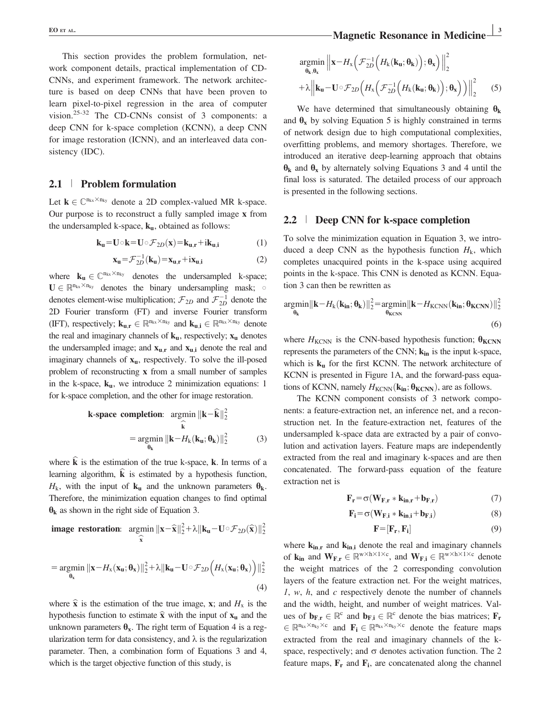This section provides the problem formulation, network component details, practical implementation of CD-CNNs, and experiment framework. The network architecture is based on deep CNNs that have been proven to learn pixel-to-pixel regression in the area of computer vision.25-32 The CD-CNNs consist of 3 components: a deep CNN for k-space completion (KCNN), a deep CNN for image restoration (ICNN), and an interleaved data consistency (IDC).

#### 2.1 <sup>|</sup> Problem formulation

Let  $k \in \mathbb{C}^{n_{kx} \times n_{ky}}$  denote a 2D complex-valued MR k-space. Our purpose is to reconstruct a fully sampled image x from the undersampled k-space,  $k_u$ , obtained as follows:

$$
\mathbf{k}_{\mathbf{u}} = \mathbf{U} \circ \mathbf{k} = \mathbf{U} \circ \mathcal{F}_{2D}(\mathbf{x}) = \mathbf{k}_{\mathbf{u},\mathbf{r}} + \mathbf{i}\mathbf{k}_{\mathbf{u},\mathbf{i}} \tag{1}
$$

$$
\mathbf{x}_{\mathbf{u}} = \mathcal{F}_{2D}^{-1}(\mathbf{k}_{\mathbf{u}}) = \mathbf{x}_{\mathbf{u},\mathbf{r}} + i\mathbf{x}_{\mathbf{u},\mathbf{i}} \tag{2}
$$

where  $\mathbf{k}_{\mathbf{u}} \in \mathbb{C}^{n_{kx} \times n_{ky}}$  denotes the undersampled k-space;  $\mathbf{U} \in \mathbb{R}^{n_{kx} \times n_{ky}}$  denotes the binary undersampling mask;  $\circ$ denotes element-wise multiplication;  $\mathcal{F}_{2D}$  and  $\mathcal{F}_{2D}^{-1}$  denote the 2D Fourier transform (FT) and inverse Fourier transform (IFT), respectively;  $\mathbf{k}_{u,r} \in \mathbb{R}^{n_{kx} \times n_{ky}}$  and  $\mathbf{k}_{u,i} \in \mathbb{R}^{n_{kx} \times n_{ky}}$  denote the real and imaginary channels of  $\mathbf{k}_u$ , respectively;  $\mathbf{x}_u$  denotes the undersampled image; and  $x_{u,r}$  and  $x_{u,i}$  denote the real and imaginary channels of  $x<sub>u</sub>$ , respectively. To solve the ill-posed problem of reconstructing x from a small number of samples in the k-space,  $k_u$ , we introduce 2 minimization equations: 1 for k-space completion, and the other for image restoration.

k-space completion: 
$$
\operatorname*{argmin}_{\hat{\mathbf{k}}} ||\mathbf{k} - \hat{\mathbf{k}}||_2^2
$$
  
\n
$$
= \operatorname*{argmin}_{\theta_k} ||\mathbf{k} - H_k(\mathbf{k}_u; \theta_k)||_2^2 \tag{3}
$$

where  $\bf{k}$  is the estimation of the true k-space,  $\bf{k}$ . In terms of a learning algorithm,  $\hat{k}$  is estimated by a hypothesis function,  $H_k$ , with the input of  $\mathbf{k}_u$  and the unknown parameters  $\theta_k$ . Therefore, the minimization equation changes to find optimal  $\theta_k$  as shown in the right side of Equation 3.

image restoration: 
$$
\operatorname{argmin}_{\widehat{\mathbf{x}}}
$$
  $\|\mathbf{x} - \widehat{\mathbf{x}}\|_2^2 + \lambda \|\mathbf{k}_\mathbf{u} - \mathbf{U} \circ \mathcal{F}_{2D}(\widehat{\mathbf{x}})\|_2^2$   
\n $= \operatorname{argmin}_{\theta_x} \|\mathbf{x} - H_x(\mathbf{x}_\mathbf{u}; \theta_x)\|_2^2 + \lambda \|\mathbf{k}_\mathbf{u} - \mathbf{U} \circ \mathcal{F}_{2D} \left(H_x(\mathbf{x}_\mathbf{u}; \theta_x)\right)\|_2^2$ 

(4)

where  $\hat{\mathbf{x}}$  is the estimation of the true image, x; and  $H_{\mathbf{x}}$  is the hypothesis function to estimate  $\hat{x}$  with the input of  $x_u$  and the unknown parameters  $\theta_x$ . The right term of Equation 4 is a regularization term for data consistency, and  $\lambda$  is the regularization parameter. Then, a combination form of Equations 3 and 4, which is the target objective function of this study, is

$$
\underset{\mathbf{\theta}_{k}, \mathbf{\theta}_{x}}{\operatorname{argmin}} \left\| \mathbf{x} - H_{x} \left( \mathcal{F}_{2D}^{-1} \left( H_{k}(\mathbf{k}_{\mathbf{u}}; \mathbf{\theta}_{\mathbf{k}}) \right); \mathbf{\theta}_{x} \right) \right\|_{2}^{2} + \lambda \left\| \mathbf{k}_{\mathbf{u}} - \mathbf{U} \circ \mathcal{F}_{2D} \left( H_{x} \left( \mathcal{F}_{2D}^{-1} \left( H_{k}(\mathbf{k}_{\mathbf{u}}; \mathbf{\theta}_{\mathbf{k}}) \right); \mathbf{\theta}_{x} \right) \right) \right\|_{2}^{2} \qquad (5)
$$

We have determined that simultaneously obtaining  $\theta_k$ and  $\theta_x$  by solving Equation 5 is highly constrained in terms of network design due to high computational complexities, overfitting problems, and memory shortages. Therefore, we introduced an iterative deep-learning approach that obtains  $\theta_k$  and  $\theta_x$  by alternately solving Equations 3 and 4 until the final loss is saturated. The detailed process of our approach is presented in the following sections.

#### 2.2 <sup>|</sup> Deep CNN for k-space completion

To solve the minimization equation in Equation 3, we introduced a deep CNN as the hypothesis function  $H_k$ , which completes unacquired points in the k-space using acquired points in the k-space. This CNN is denoted as KCNN. Equation 3 can then be rewritten as

$$
\underset{\boldsymbol{\theta}_{\mathbf{k}}}{\text{argmin}} \|\mathbf{k} - H_{\mathbf{k}}(\mathbf{k}_{\mathbf{in}}; \boldsymbol{\theta}_{\mathbf{k}})\|_{2}^{2} = \underset{\boldsymbol{\theta}_{\mathbf{K} \mathbf{C} \mathbf{N} \mathbf{N}}}{\text{argmin}} \|\mathbf{k} - H_{\mathbf{K} \mathbf{C} \mathbf{N} \mathbf{N}}(\mathbf{k}_{\mathbf{in}}; \boldsymbol{\theta}_{\mathbf{K} \mathbf{C} \mathbf{N} \mathbf{N}})\|_{2}^{2}
$$
\n(6)

where  $H_{\text{KCNN}}$  is the CNN-based hypothesis function;  $\theta_{\text{KCNN}}$ represents the parameters of the CNN;  $k_{in}$  is the input k-space, which is  $k_u$  for the first KCNN. The network architecture of KCNN is presented in Figure 1A, and the forward-pass equations of KCNN, namely  $H_{\text{KCNN}}(\mathbf{k}_{in}; \theta_{\text{KCNN}})$ , are as follows.

The KCNN component consists of 3 network components: a feature-extraction net, an inference net, and a reconstruction net. In the feature-extraction net, features of the undersampled k-space data are extracted by a pair of convolution and activation layers. Feature maps are independently extracted from the real and imaginary k-spaces and are then concatenated. The forward-pass equation of the feature extraction net is

$$
\mathbf{F}_{\mathbf{r}} = \sigma(\mathbf{W}_{\mathbf{F},\mathbf{r}} * \mathbf{k}_{\mathbf{in},\mathbf{r}} + \mathbf{b}_{\mathbf{F},\mathbf{r}}) \tag{7}
$$

$$
\mathbf{F}_{i} = \sigma(\mathbf{W}_{F,i} * \mathbf{k}_{in,i} + \mathbf{b}_{F,i})
$$
 (8)

$$
\mathbf{F} = [\mathbf{F}_r, \mathbf{F}_i] \tag{9}
$$

where  $k_{in,r}$  and  $k_{in,i}$  denote the real and imaginary channels of  $\mathbf{k}_{in}$  and  $\mathbf{W}_{F,r} \in \mathbb{R}^{w \times h \times 1 \times c}$ , and  $\mathbf{W}_{F,i} \in \mathbb{R}^{w \times h \times 1 \times c}$  denote the weight matrices of the 2 corresponding convolution layers of the feature extraction net. For the weight matrices,  $1, w, h,$  and  $c$  respectively denote the number of channels and the width, height, and number of weight matrices. Values of  $\mathbf{b}_{\mathbf{F},\mathbf{r}} \in \mathbb{R}^c$  and  $\mathbf{b}_{\mathbf{F},\mathbf{i}} \in \mathbb{R}^c$  denote the bias matrices;  $\mathbf{F}_\mathbf{r}$  $\in \mathbb{R}^{n_{kx} \times n_{ky} \times c}$  and  $\mathbf{F_i} \in \mathbb{R}^{n_{kx} \times n_{ky} \times c}$  denote the feature maps extracted from the real and imaginary channels of the kspace, respectively; and  $\sigma$  denotes activation function. The 2 feature maps,  $\mathbf{F}_r$  and  $\mathbf{F}_i$ , are concatenated along the channel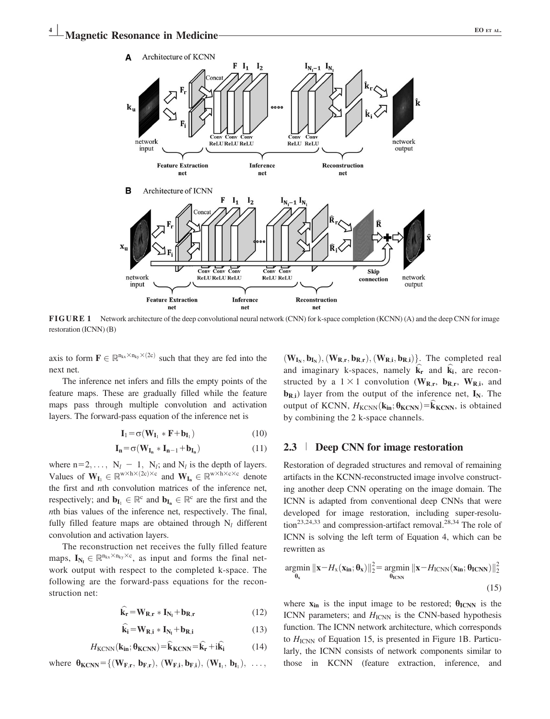

FIGURE 1 Network architecture of the deep convolutional neural network (CNN) for k-space completion (KCNN) (A) and the deep CNN for image restoration (ICNN) (B)

axis to form  $\mathbf{F} \in \mathbb{R}^{n_{kx} \times n_{ky} \times (2c)}$  such that they are fed into the next net.

The inference net infers and fills the empty points of the feature maps. These are gradually filled while the feature maps pass through multiple convolution and activation layers. The forward-pass equation of the inference net is

$$
\mathbf{I}_1 = \sigma(\mathbf{W}_{\mathbf{I}_1} * \mathbf{F} + \mathbf{b}_{\mathbf{I}_1})
$$
 (10)

$$
\mathbf{I}_{n} = \sigma(\mathbf{W}_{\mathbf{I}_{n}} * \mathbf{I}_{n-1} + \mathbf{b}_{\mathbf{I}_{n}}) \tag{11}
$$

where  $n=2, \ldots, N_l - 1, N_l$ ; and  $N_l$  is the depth of layers. Values of  $W_{I_1} \in \mathbb{R}^{w \times h \times (2c) \times c}$  and  $W_{I_n} \in \mathbb{R}^{w \times h \times c \times c}$  denote the first and nth convolution matrices of the inference net, respectively; and  $\mathbf{b}_{\mathbf{I}_{1}} \in \mathbb{R}^c$  and  $\mathbf{b}_{\mathbf{I}_{n}} \in \mathbb{R}^c$  are the first and the nth bias values of the inference net, respectively. The final, fully filled feature maps are obtained through  $N_l$  different convolution and activation layers.

The reconstruction net receives the fully filled feature maps,  $\mathbf{I}_{N_l} \in \mathbb{R}^{n_{kx} \times n_{ky} \times c}$ , as input and forms the final net-<br>work output with respect to the completed k spees. The work output with respect to the completed k-space. The following are the forward-pass equations for the reconstruction net:

$$
\widehat{\mathbf{k}}_{\mathbf{r}} = \mathbf{W}_{\mathbf{R}, \mathbf{r}} * \mathbf{I}_{\mathbf{N}_{\mathbf{l}}} + \mathbf{b}_{\mathbf{R}, \mathbf{r}} \tag{12}
$$

$$
\hat{\mathbf{k}}_{i} = \mathbf{W}_{R,i} * \mathbf{I}_{N_{l}} + \mathbf{b}_{R,i}
$$
 (13)

$$
H_{\text{KCNN}}(\mathbf{k}_{\text{in}}; \theta_{\text{KCNN}}) = \hat{\mathbf{k}}_{\text{KCNN}} = \hat{\mathbf{k}}_{\text{r}} + \mathrm{i}\hat{\mathbf{k}}_{\text{i}} \tag{14}
$$

where 
$$
\boldsymbol{\theta}_{\text{KCNN}} = \{ (\mathbf{W}_{\mathbf{F},\mathbf{r}}, \mathbf{b}_{\mathbf{F},\mathbf{r}}), (\mathbf{W}_{\mathbf{F},\mathbf{i}}, \mathbf{b}_{\mathbf{F},\mathbf{i}}), (\mathbf{W}_{\mathbf{I}_1}, \mathbf{b}_{\mathbf{I}_1}), \ldots,
$$

 $(W_{I_N}, b_{I_N}), (W_{R,r}, b_{R,r}), (W_{R,i}, b_{R,i})\}$ . The completed real and imaginary k-spaces, namely  $\hat{k}_r$  and  $\hat{k}_i$ , are reconstructed by a  $1 \times 1$  convolution (W<sub>R,r</sub>, b<sub>R,r</sub>, W<sub>R,i</sub>, and **) layer from the output of the inference net,**  $**I**<sub>N</sub>$ **. The** output of KCNN,  $H_{\text{KCNN}}(\mathbf{k}_{in}; \theta_{\text{KCNN}}) = \mathbf{k}_{\text{KCNN}}$ , is obtained by combining the 2 k-space channels.

### 2.3 <sup>|</sup> Deep CNN for image restoration

Restoration of degraded structures and removal of remaining artifacts in the KCNN-reconstructed image involve constructing another deep CNN operating on the image domain. The ICNN is adapted from conventional deep CNNs that were developed for image restoration, including super-resolu- $\frac{1}{28,34}$  and compression-artifact removal.<sup>28,34</sup> The role of ICNN is solving the left term of Equation 4, which can be rewritten as

$$
\underset{\mathbf{\theta}_{\mathbf{x}}}{\text{argmin}} \|\mathbf{x} - H_{\mathbf{x}}(\mathbf{x}_{\text{in}}; \mathbf{\theta}_{\mathbf{x}})\|_{2}^{2} = \underset{\mathbf{\theta}_{\text{ICNN}}}{\text{argmin}} \|\mathbf{x} - H_{\text{ICNN}}(\mathbf{x}_{\text{in}}; \mathbf{\theta}_{\text{ICNN}})\|_{2}^{2}
$$
\n(15)

where  $x_{in}$  is the input image to be restored;  $\theta_{ICNN}$  is the ICNN parameters; and  $H_{\text{ICNN}}$  is the CNN-based hypothesis function. The ICNN network architecture, which corresponds to  $H_{\text{ICNN}}$  of Equation 15, is presented in Figure 1B. Particularly, the ICNN consists of network components similar to those in KCNN (feature extraction, inference, and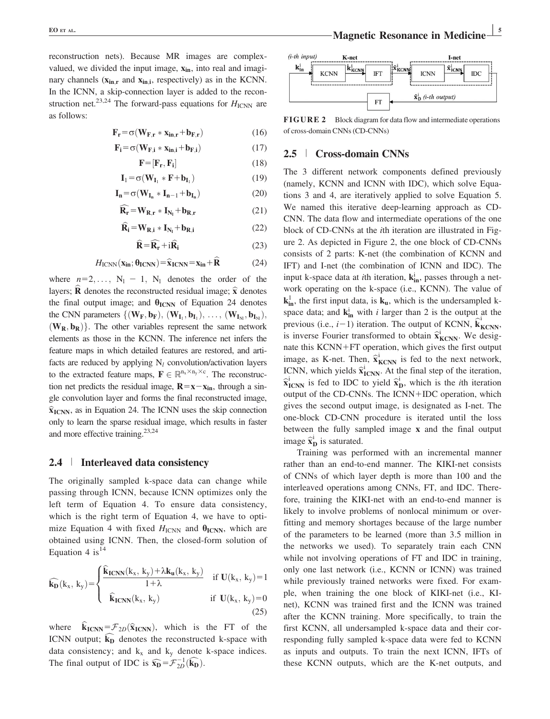reconstruction nets). Because MR images are complexvalued, we divided the input image,  $x_{in}$ , into real and imaginary channels  $(x_{in,r}$  and  $x_{in,i}$ , respectively) as in the KCNN. In the ICNN, a skip-connection layer is added to the reconstruction net.<sup>23,24</sup> The forward-pass equations for  $H_{\text{ICNN}}$  are as follows:

$$
\mathbf{F}_{\mathbf{r}} = \sigma(\mathbf{W}_{\mathbf{F},\mathbf{r}} * \mathbf{x}_{\mathbf{in},\mathbf{r}} + \mathbf{b}_{\mathbf{F},\mathbf{r}}) \tag{16}
$$

$$
\mathbf{F}_{\mathbf{i}} = \sigma(\mathbf{W}_{\mathbf{F}, \mathbf{i}} \ast \mathbf{x}_{\mathbf{in}, \mathbf{i}} + \mathbf{b}_{\mathbf{F}, \mathbf{i}}) \tag{17}
$$

$$
\mathbf{F} = [\mathbf{F}_r, \mathbf{F}_i] \tag{18}
$$

$$
\mathbf{I}_1 = \sigma(\mathbf{W}_{\mathbf{I}_1} * \mathbf{F} + \mathbf{b}_{\mathbf{I}_1}) \tag{19}
$$

$$
\mathbf{I}_{n} = \sigma(\mathbf{W}_{\mathbf{I}_{n}} * \mathbf{I}_{n-1} + \mathbf{b}_{\mathbf{I}_{n}}) \tag{20}
$$

$$
\widehat{\mathbf{R}_{\mathbf{r}}} = \mathbf{W}_{\mathbf{R}, \mathbf{r}} * \mathbf{I}_{\mathbf{N}_l} + \mathbf{b}_{\mathbf{R}, \mathbf{r}} \tag{21}
$$

$$
\widehat{\mathbf{R}}_{i} = \mathbf{W}_{\mathbf{R},i} * \mathbf{I}_{N_{l}} + \mathbf{b}_{\mathbf{R},i}
$$
 (22)

$$
\widehat{\mathbf{R}} = \widehat{\mathbf{R}_{\mathbf{r}}} + \mathbf{i}\widehat{\mathbf{R}}_{\mathbf{i}} \tag{23}
$$

$$
H_{\text{ICNN}}(\mathbf{x}_{\text{in}}; \theta_{\text{ICNN}}) = \hat{\mathbf{x}}_{\text{ICNN}} = \mathbf{x}_{\text{in}} + \hat{\mathbf{R}} \tag{24}
$$

where  $n=2,\ldots$ ,  $N_1 - 1$ ,  $N_1$  denotes the order of the layers; **R** denotes the reconstructed residual image;  $\hat{\mathbf{x}}$  denotes the final output image; and  $\theta_{\text{ICNN}}$  of Equation 24 denotes the CNN parameters  $\{(\mathbf{W}_{\mathbf{F}}, \mathbf{b}_{\mathbf{F}}), (\mathbf{W}_{\mathbf{I}_1}, \mathbf{b}_{\mathbf{I}_1}), \ldots, (\mathbf{W}_{\mathbf{I}_{Nl}}, \mathbf{b}_{\mathbf{I}_{Nl}}),\}$  $(W_R, b_R)$ . The other variables represent the same network elements as those in the KCNN. The inference net infers the feature maps in which detailed features are restored, and artifacts are reduced by applying  $N_l$  convolution/activation layers to the extracted feature maps,  $\mathbf{F} \in \mathbb{R}^{n_x \times n_y \times c}$ . The reconstruc-<br>tion not product the recidual images  $\mathbf{B} = \mathbf{v} - \mathbf{v}$  through a sin tion net predicts the residual image,  $\mathbf{R} = \mathbf{x} - \mathbf{x}_{in}$ , through a single convolution layer and forms the final reconstructed image,  $\hat{\mathbf{x}}$ <sub>ICNN</sub>, as in Equation 24. The ICNN uses the skip connection only to learn the sparse residual image, which results in faster and more effective training.<sup>23,24</sup>

#### 2.4 <sup>|</sup> Interleaved data consistency

The originally sampled k-space data can change while passing through ICNN, because ICNN optimizes only the left term of Equation 4. To ensure data consistency, which is the right term of Equation 4, we have to optimize Equation 4 with fixed  $H_{\text{ICNN}}$  and  $\theta_{\text{ICNN}}$ , which are obtained using ICNN. Then, the closed-form solution of Equation 4 is  $14$ 

$$
\widehat{\mathbf{k}_{D}}(k_{x}, k_{y}) = \begin{cases} \frac{\widehat{\mathbf{k}}_{\text{ICNN}}(k_{x}, k_{y}) + \lambda k_{u}(k_{x}, k_{y})}{1 + \lambda} & \text{if } \mathbf{U}(k_{x}, k_{y}) = 1 \\ \frac{\widehat{\mathbf{k}}_{\text{ICNN}}(k_{x}, k_{y})}{\widehat{\mathbf{k}}_{\text{ICNN}}(k_{x}, k_{y})} & \text{if } \mathbf{U}(k_{x}, k_{y}) = 0 \end{cases}
$$
(25)

where  $\mathbf{k}_{\text{ICNN}} = \mathcal{F}_{2D}(\hat{\mathbf{x}}_{\text{ICNN}})$ , which is the FT of the ICNN output;  $k_D$  denotes the reconstructed k-space with data consistency; and  $k_x$  and  $k_y$  denote k-space indices. The final output of IDC is  $\widehat{\mathbf{x}_D} = \mathcal{F}_{2D}^{-1}(\widehat{\mathbf{k}_D})$ .



FIGURE 2 Block diagram for data flow and intermediate operations of cross-domain CNNs (CD-CNNs)

#### 2.5 <sup>|</sup> Cross-domain CNNs

The 3 different network components defined previously (namely, KCNN and ICNN with IDC), which solve Equations 3 and 4, are iteratively applied to solve Equation 5. We named this iterative deep-learning approach as CD-CNN. The data flow and intermediate operations of the one block of CD-CNNs at the ith iteration are illustrated in Figure 2. As depicted in Figure 2, the one block of CD-CNNs consists of 2 parts: K-net (the combination of KCNN and IFT) and I-net (the combination of ICNN and IDC). The input k-space data at *i*th iteration,  $\mathbf{k}_{in}^{i}$ , passes through a network operating on the k-space (i.e., KCNN). The value of  $k_{in}^1$ , the first input data, is  $k_u$ , which is the undersampled kspace data; and  $\mathbf{k}_{in}^{i}$  with *i* larger than 2 is the output at the previous (i.e.,  $i-1$ ) iteration. The output of KCNN,  $\hat{k}_{KCNN}^{i}$ , is inverse Fourier transformed to obtain  $\hat{\mathbf{x}}_{\text{KCNN}}^i$ . We designate this KCNN+FT operation, which gives the first output image, as K-net. Then,  $\hat{x}_{KCNN}^{i}$  is fed to the next network, ICNN, which yields  $\hat{\mathbf{x}}_{\text{ICNN}}^i$ . At the final step of the iteration,  $\hat{x}_{\text{ICNN}}^i$  is fed to IDC to yield  $\hat{x}_{\text{D}}^i$ , which is the *i*th iteration output of the CD-CNNs. The  $ICNN+IDC$  operation, which gives the second output image, is designated as I-net. The one-block CD-CNN procedure is iterated until the loss between the fully sampled image x and the final output image  $\widehat{\mathbf{x}}_D^i$  is saturated.

Training was performed with an incremental manner rather than an end-to-end manner. The KIKI-net consists of CNNs of which layer depth is more than 100 and the interleaved operations among CNNs, FT, and IDC. Therefore, training the KIKI-net with an end-to-end manner is likely to involve problems of nonlocal minimum or overfitting and memory shortages because of the large number of the parameters to be learned (more than 3.5 million in the networks we used). To separately train each CNN while not involving operations of FT and IDC in training, only one last network (i.e., KCNN or ICNN) was trained while previously trained networks were fixed. For example, when training the one block of KIKI-net (i.e., KInet), KCNN was trained first and the ICNN was trained after the KCNN training. More specifically, to train the first KCNN, all undersampled k-space data and their corresponding fully sampled k-space data were fed to KCNN as inputs and outputs. To train the next ICNN, IFTs of these KCNN outputs, which are the K-net outputs, and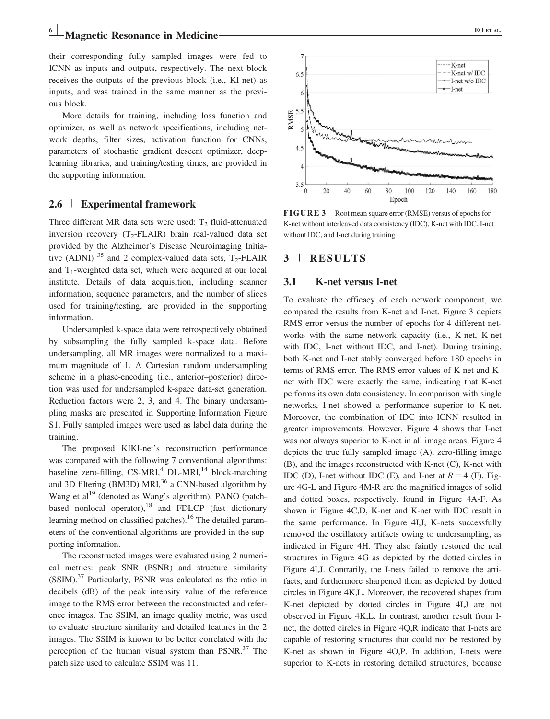Magnetic Resonance in Medicine EQ ET AL.

their corresponding fully sampled images were fed to ICNN as inputs and outputs, respectively. The next block receives the outputs of the previous block (i.e., KI-net) as inputs, and was trained in the same manner as the previous block.

More details for training, including loss function and optimizer, as well as network specifications, including network depths, filter sizes, activation function for CNNs, parameters of stochastic gradient descent optimizer, deeplearning libraries, and training/testing times, are provided in the supporting information.

#### 2.6 <sup>|</sup> Experimental framework

Three different MR data sets were used:  $T_2$  fluid-attenuated inversion recovery  $(T_2\text{-FLAIR})$  brain real-valued data set provided by the Alzheimer's Disease Neuroimaging Initiative (ADNI)  $^{35}$  and 2 complex-valued data sets, T<sub>2</sub>-FLAIR and  $T_1$ -weighted data set, which were acquired at our local institute. Details of data acquisition, including scanner information, sequence parameters, and the number of slices used for training/testing, are provided in the supporting information.

Undersampled k-space data were retrospectively obtained by subsampling the fully sampled k-space data. Before undersampling, all MR images were normalized to a maximum magnitude of 1. A Cartesian random undersampling scheme in a phase-encoding (i.e., anterior–posterior) direction was used for undersampled k-space data-set generation. Reduction factors were 2, 3, and 4. The binary undersampling masks are presented in Supporting Information Figure S1. Fully sampled images were used as label data during the training.

The proposed KIKI-net's reconstruction performance was compared with the following 7 conventional algorithms: baseline zero-filling,  $CS-MRI$ ,  $^{4}$  DL-MRI, $^{14}$  block-matching and 3D filtering (BM3D) MRI,<sup>36</sup> a CNN-based algorithm by Wang et al<sup>19</sup> (denoted as Wang's algorithm), PANO (patchbased nonlocal operator),  $18$  and FDLCP (fast dictionary learning method on classified patches).<sup>16</sup> The detailed parameters of the conventional algorithms are provided in the supporting information.

The reconstructed images were evaluated using 2 numerical metrics: peak SNR (PSNR) and structure similarity (SSIM).37 Particularly, PSNR was calculated as the ratio in decibels (dB) of the peak intensity value of the reference image to the RMS error between the reconstructed and reference images. The SSIM, an image quality metric, was used to evaluate structure similarity and detailed features in the 2 images. The SSIM is known to be better correlated with the perception of the human visual system than  $PSNR$ .<sup>37</sup> The patch size used to calculate SSIM was 11.



FIGURE 3 Root mean square error (RMSE) versus of epochs for K-net without interleaved data consistency (IDC), K-net with IDC, I-net without IDC, and I-net during training

#### 3 <sup>|</sup> RESULTS

#### 3.1 <sup>|</sup> K-net versus I-net

To evaluate the efficacy of each network component, we compared the results from K-net and I-net. Figure 3 depicts RMS error versus the number of epochs for 4 different networks with the same network capacity (i.e., K-net, K-net with IDC, I-net without IDC, and I-net). During training, both K-net and I-net stably converged before 180 epochs in terms of RMS error. The RMS error values of K-net and Knet with IDC were exactly the same, indicating that K-net performs its own data consistency. In comparison with single networks, I-net showed a performance superior to K-net. Moreover, the combination of IDC into ICNN resulted in greater improvements. However, Figure 4 shows that I-net was not always superior to K-net in all image areas. Figure 4 depicts the true fully sampled image (A), zero-filling image (B), and the images reconstructed with K-net (C), K-net with IDC (D), I-net without IDC (E), and I-net at  $R = 4$  (F). Figure 4G-L and Figure 4M-R are the magnified images of solid and dotted boxes, respectively, found in Figure 4A-F. As shown in Figure 4C,D, K-net and K-net with IDC result in the same performance. In Figure 4I,J, K-nets successfully removed the oscillatory artifacts owing to undersampling, as indicated in Figure 4H. They also faintly restored the real structures in Figure 4G as depicted by the dotted circles in Figure 4I,J. Contrarily, the I-nets failed to remove the artifacts, and furthermore sharpened them as depicted by dotted circles in Figure 4K,L. Moreover, the recovered shapes from K-net depicted by dotted circles in Figure 4I,J are not observed in Figure 4K,L. In contrast, another result from Inet, the dotted circles in Figure 4Q,R indicate that I-nets are capable of restoring structures that could not be restored by K-net as shown in Figure 4O,P. In addition, I-nets were superior to K-nets in restoring detailed structures, because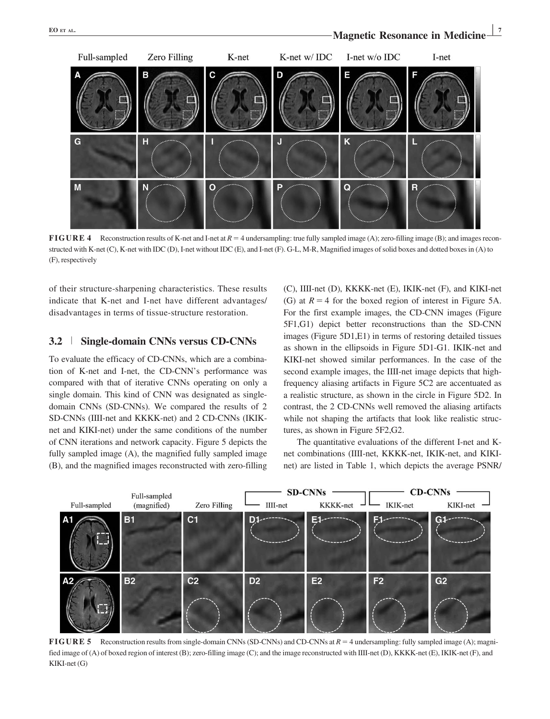

**FIGURE 4** Reconstruction results of K-net and I-net at  $R = 4$  undersampling: true fully sampled image (A); zero-filling image (B); and images reconstructed with K-net (C), K-net with IDC (D), I-net without IDC (E), and I-net (F). G-L, M-R, Magnified images of solid boxes and dotted boxes in (A) to (F), respectively

of their structure-sharpening characteristics. These results indicate that K-net and I-net have different advantages/ disadvantages in terms of tissue-structure restoration.

#### 3.2 <sup>|</sup> Single-domain CNNs versus CD-CNNs

To evaluate the efficacy of CD-CNNs, which are a combination of K-net and I-net, the CD-CNN's performance was compared with that of iterative CNNs operating on only a single domain. This kind of CNN was designated as singledomain CNNs (SD-CNNs). We compared the results of 2 SD-CNNs (IIII-net and KKKK-net) and 2 CD-CNNs (IKIKnet and KIKI-net) under the same conditions of the number of CNN iterations and network capacity. Figure 5 depicts the fully sampled image (A), the magnified fully sampled image (B), and the magnified images reconstructed with zero-filling

(C), IIII-net (D), KKKK-net (E), IKIK-net (F), and KIKI-net (G) at  $R = 4$  for the boxed region of interest in Figure 5A. For the first example images, the CD-CNN images (Figure 5F1,G1) depict better reconstructions than the SD-CNN images (Figure 5D1,E1) in terms of restoring detailed tissues as shown in the ellipsoids in Figure 5D1-G1. IKIK-net and KIKI-net showed similar performances. In the case of the second example images, the IIII-net image depicts that highfrequency aliasing artifacts in Figure 5C2 are accentuated as a realistic structure, as shown in the circle in Figure 5D2. In contrast, the 2 CD-CNNs well removed the aliasing artifacts while not shaping the artifacts that look like realistic structures, as shown in Figure 5F2,G2.

The quantitative evaluations of the different I-net and Knet combinations (IIII-net, KKKK-net, IKIK-net, and KIKInet) are listed in Table 1, which depicts the average PSNR/



**FIGURE 5** Reconstruction results from single-domain CNNs (SD-CNNs) and CD-CNNs at  $R = 4$  undersampling: fully sampled image (A); magnified image of (A) of boxed region of interest (B); zero-filling image (C); and the image reconstructed with IIII-net (D), KKKK-net (E), IKIK-net (F), and KIKI-net (G)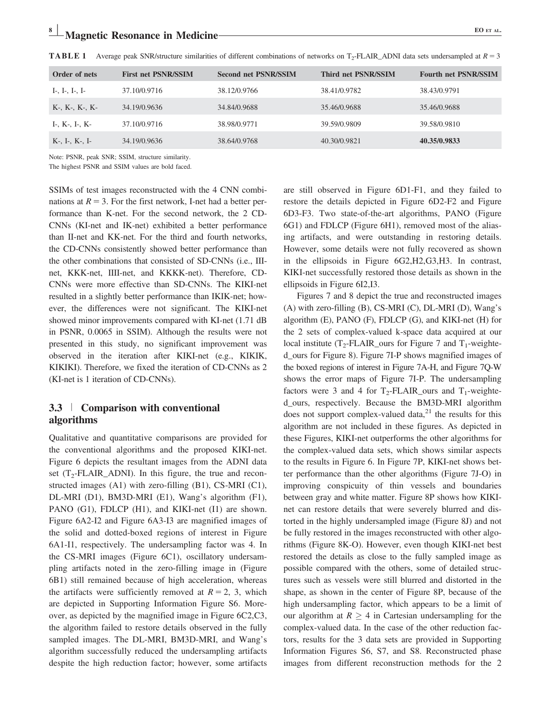| Order of nets  | <b>First net PSNR/SSIM</b> | <b>Second net PSNR/SSIM</b> | Third net PSNR/SSIM | <b>Fourth net PSNR/SSIM</b> |
|----------------|----------------------------|-----------------------------|---------------------|-----------------------------|
| I-, I-, I-, I- | 37.10/0.9716               | 38.12/0.9766                | 38.41/0.9782        | 38.43/0.9791                |
| K-, K-, K-, K- | 34.19/0.9636               | 34.84/0.9688                | 35.46/0.9688        | 35.46/0.9688                |
| I-, K-, I-, K- | 37.10/0.9716               | 38.98/0.9771                | 39.59/0.9809        | 39.58/0.9810                |
| K-, I-, K-, I- | 34.19/0.9636               | 38.64/0.9768                | 40.30/0.9821        | 40.35/0.9833                |

**TABLE 1** Average peak SNR/structure similarities of different combinations of networks on  $T_2$ -FLAIR\_ADNI data sets undersampled at  $R = 3$ 

Note: PSNR, peak SNR; SSIM, structure similarity.

The highest PSNR and SSIM values are bold faced.

SSIMs of test images reconstructed with the 4 CNN combinations at  $R = 3$ . For the first network, I-net had a better performance than K-net. For the second network, the 2 CD-CNNs (KI-net and IK-net) exhibited a better performance than II-net and KK-net. For the third and fourth networks, the CD-CNNs consistently showed better performance than the other combinations that consisted of SD-CNNs (i.e., IIInet, KKK-net, IIII-net, and KKKK-net). Therefore, CD-CNNs were more effective than SD-CNNs. The KIKI-net resulted in a slightly better performance than IKIK-net; however, the differences were not significant. The KIKI-net showed minor improvements compared with KI-net (1.71 dB in PSNR, 0.0065 in SSIM). Although the results were not presented in this study, no significant improvement was observed in the iteration after KIKI-net (e.g., KIKIK, KIKIKI). Therefore, we fixed the iteration of CD-CNNs as 2 (KI-net is 1 iteration of CD-CNNs).

# 3.3 <sup>|</sup> Comparison with conventional algorithms

Qualitative and quantitative comparisons are provided for the conventional algorithms and the proposed KIKI-net. Figure 6 depicts the resultant images from the ADNI data set  $(T_2\text{-FLAIR}\_\text{ADNI})$ . In this figure, the true and reconstructed images (A1) with zero-filling (B1), CS-MRI (C1), DL-MRI (D1), BM3D-MRI (E1), Wang's algorithm (F1), PANO (G1), FDLCP (H1), and KIKI-net (I1) are shown. Figure 6A2-I2 and Figure 6A3-I3 are magnified images of the solid and dotted-boxed regions of interest in Figure 6A1-I1, respectively. The undersampling factor was 4. In the CS-MRI images (Figure 6C1), oscillatory undersampling artifacts noted in the zero-filling image in (Figure 6B1) still remained because of high acceleration, whereas the artifacts were sufficiently removed at  $R = 2$ , 3, which are depicted in Supporting Information Figure S6. Moreover, as depicted by the magnified image in Figure 6C2,C3, the algorithm failed to restore details observed in the fully sampled images. The DL-MRI, BM3D-MRI, and Wang's algorithm successfully reduced the undersampling artifacts despite the high reduction factor; however, some artifacts

are still observed in Figure 6D1-F1, and they failed to restore the details depicted in Figure 6D2-F2 and Figure 6D3-F3. Two state-of-the-art algorithms, PANO (Figure 6G1) and FDLCP (Figure 6H1), removed most of the aliasing artifacts, and were outstanding in restoring details. However, some details were not fully recovered as shown in the ellipsoids in Figure 6G2,H2,G3,H3. In contrast, KIKI-net successfully restored those details as shown in the ellipsoids in Figure 6I2,I3.

Figures 7 and 8 depict the true and reconstructed images (A) with zero-filling (B), CS-MRI (C), DL-MRI (D), Wang's algorithm (E), PANO (F), FDLCP (G), and KIKI-net (H) for the 2 sets of complex-valued k-space data acquired at our local institute ( $T_2$ -FLAIR\_ours for Figure 7 and  $T_1$ -weighted\_ours for Figure 8). Figure 7I-P shows magnified images of the boxed regions of interest in Figure 7A-H, and Figure 7Q-W shows the error maps of Figure 7I-P. The undersampling factors were 3 and 4 for  $T_2$ -FLAIR\_ours and  $T_1$ -weighted\_ours, respectively. Because the BM3D-MRI algorithm does not support complex-valued data, $21$  the results for this algorithm are not included in these figures. As depicted in these Figures, KIKI-net outperforms the other algorithms for the complex-valued data sets, which shows similar aspects to the results in Figure 6. In Figure 7P, KIKI-net shows better performance than the other algorithms (Figure 7J-O) in improving conspicuity of thin vessels and boundaries between gray and white matter. Figure 8P shows how KIKInet can restore details that were severely blurred and distorted in the highly undersampled image (Figure 8J) and not be fully restored in the images reconstructed with other algorithms (Figure 8K-O). However, even though KIKI-net best restored the details as close to the fully sampled image as possible compared with the others, some of detailed structures such as vessels were still blurred and distorted in the shape, as shown in the center of Figure 8P, because of the high undersampling factor, which appears to be a limit of our algorithm at  $R \geq 4$  in Cartesian undersampling for the complex-valued data. In the case of the other reduction factors, results for the 3 data sets are provided in Supporting Information Figures S6, S7, and S8. Reconstructed phase images from different reconstruction methods for the 2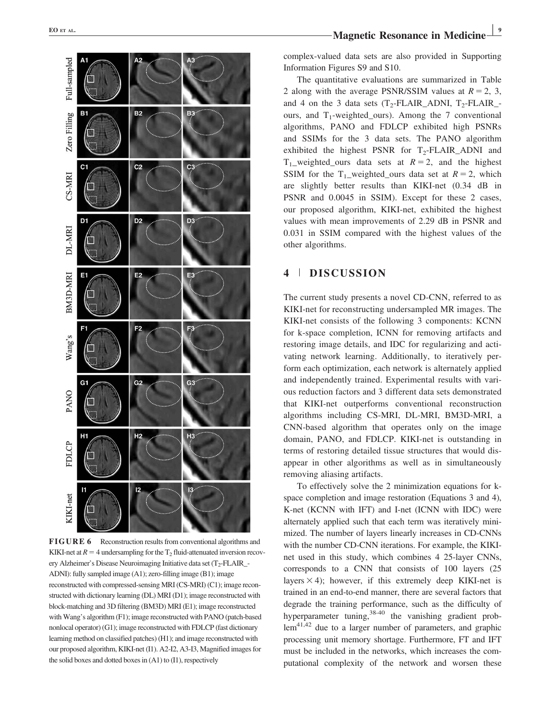

FIGURE 6 Reconstruction results from conventional algorithms and KIKI-net at  $R=4$  undersampling for the T<sub>2</sub> fluid-attenuated inversion recovery Alzheimer's Disease Neuroimaging Initiative data set (T<sub>2</sub>-FLAIR\_-ADNI): fully sampled image (A1); zero-filling image (B1); image reconstructed with compressed-sensing MRI (CS-MRI) (C1); image reconstructed with dictionary learning (DL) MRI (D1); image reconstructed with block-matching and 3D filtering (BM3D) MRI (E1); image reconstructed with Wang's algorithm (F1); image reconstructed with PANO (patch-based nonlocal operator) (G1); image reconstructed with FDLCP (fast dictionary learning method on classified patches) (H1); and image reconstructed with our proposed algorithm, KIKI-net (I1). A2-I2, A3-I3, Magnified images for the solid boxes and dotted boxes in (A1) to (I1), respectively

complex-valued data sets are also provided in Supporting Information Figures S9 and S10.

The quantitative evaluations are summarized in Table 2 along with the average PSNR/SSIM values at  $R = 2, 3$ , and 4 on the 3 data sets  $(T_2\text{-FLAIR}\_\text{ADNI}, T_2\text{-FLAIR}\_\text{-}$ ours, and  $T_1$ -weighted\_ours). Among the 7 conventional algorithms, PANO and FDLCP exhibited high PSNRs and SSIMs for the 3 data sets. The PANO algorithm exhibited the highest PSNR for  $T_2$ -FLAIR ADNI and  $T_1$  weighted ours data sets at  $R = 2$ , and the highest SSIM for the T<sub>1</sub>\_weighted\_ours data set at  $R = 2$ , which are slightly better results than KIKI-net (0.34 dB in PSNR and 0.0045 in SSIM). Except for these 2 cases, our proposed algorithm, KIKI-net, exhibited the highest values with mean improvements of 2.29 dB in PSNR and 0.031 in SSIM compared with the highest values of the other algorithms.

# 4 <sup>|</sup> DISCUSSION

The current study presents a novel CD-CNN, referred to as KIKI-net for reconstructing undersampled MR images. The KIKI-net consists of the following 3 components: KCNN for k-space completion, ICNN for removing artifacts and restoring image details, and IDC for regularizing and activating network learning. Additionally, to iteratively perform each optimization, each network is alternately applied and independently trained. Experimental results with various reduction factors and 3 different data sets demonstrated that KIKI-net outperforms conventional reconstruction algorithms including CS-MRI, DL-MRI, BM3D-MRI, a CNN-based algorithm that operates only on the image domain, PANO, and FDLCP. KIKI-net is outstanding in terms of restoring detailed tissue structures that would disappear in other algorithms as well as in simultaneously removing aliasing artifacts.

To effectively solve the 2 minimization equations for kspace completion and image restoration (Equations 3 and 4), K-net (KCNN with IFT) and I-net (ICNN with IDC) were alternately applied such that each term was iteratively minimized. The number of layers linearly increases in CD-CNNs with the number CD-CNN iterations. For example, the KIKInet used in this study, which combines 4 25-layer CNNs, corresponds to a CNN that consists of 100 layers (25 layers  $\times$  4); however, if this extremely deep KIKI-net is trained in an end-to-end manner, there are several factors that degrade the training performance, such as the difficulty of hyperparameter tuning,<sup>38-40</sup> the vanishing gradient problem<sup>41,42</sup> due to a larger number of parameters, and graphic processing unit memory shortage. Furthermore, FT and IFT must be included in the networks, which increases the computational complexity of the network and worsen these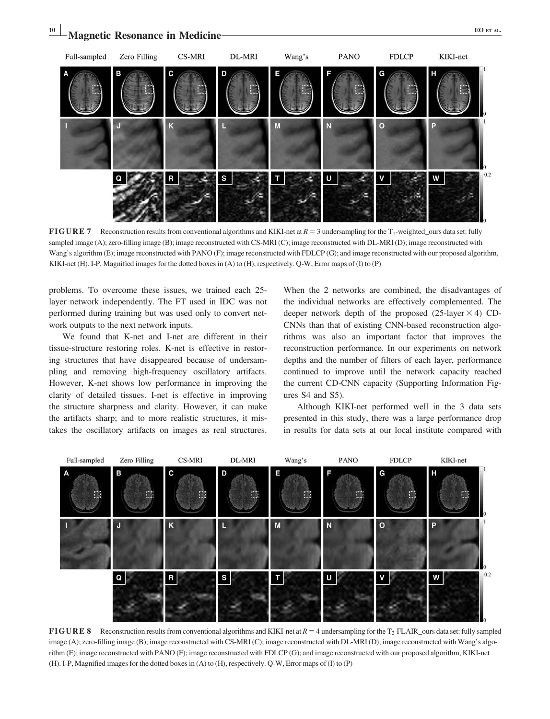

**FIGURE 7** Reconstruction results from conventional algorithms and KIKI-net at  $R = 3$  undersampling for the  $T_1$ -weighted\_ours data set: fully sampled image (A); zero-filling image (B); image reconstructed with CS-MRI (C); image reconstructed with DL-MRI (D); image reconstructed with Wang's algorithm (E); image reconstructed with PANO (F); image reconstructed with FDLCP (G); and image reconstructed with our proposed algorithm, KIKI-net (H). I-P, Magnified images for the dotted boxes in (A) to (H), respectively. Q-W, Error maps of (I) to (P)

problems. To overcome these issues, we trained each 25 layer network independently. The FT used in IDC was not performed during training but was used only to convert network outputs to the next network inputs.

We found that K-net and I-net are different in their tissue-structure restoring roles. K-net is effective in restoring structures that have disappeared because of undersampling and removing high-frequency oscillatory artifacts. However, K-net shows low performance in improving the clarity of detailed tissues. I-net is effective in improving the structure sharpness and clarity. However, it can make the artifacts sharp; and to more realistic structures, it mistakes the oscillatory artifacts on images as real structures.

When the 2 networks are combined, the disadvantages of the individual networks are effectively complemented. The deeper network depth of the proposed  $(25\text{-layer} \times 4)$  CD-CNNs than that of existing CNN-based reconstruction algorithms was also an important factor that improves the reconstruction performance. In our experiments on network depths and the number of filters of each layer, performance continued to improve until the network capacity reached the current CD-CNN capacity (Supporting Information Figures S4 and S5).

Although KIKI-net performed well in the 3 data sets presented in this study, there was a large performance drop in results for data sets at our local institute compared with



FIGURE 8 Reconstruction results from conventional algorithms and KIKI-net at  $R = 4$  undersampling for the T<sub>2</sub>-FLAIR\_ours data set: fully sampled image (A); zero-filling image (B); image reconstructed with CS-MRI (C); image reconstructed with DL-MRI (D); image reconstructed with Wang's algorithm (E); image reconstructed with PANO (F); image reconstructed with FDLCP (G); and image reconstructed with our proposed algorithm, KIKI-net (H). I-P, Magnified images for the dotted boxes in (A) to (H), respectively. Q-W, Error maps of (I) to (P)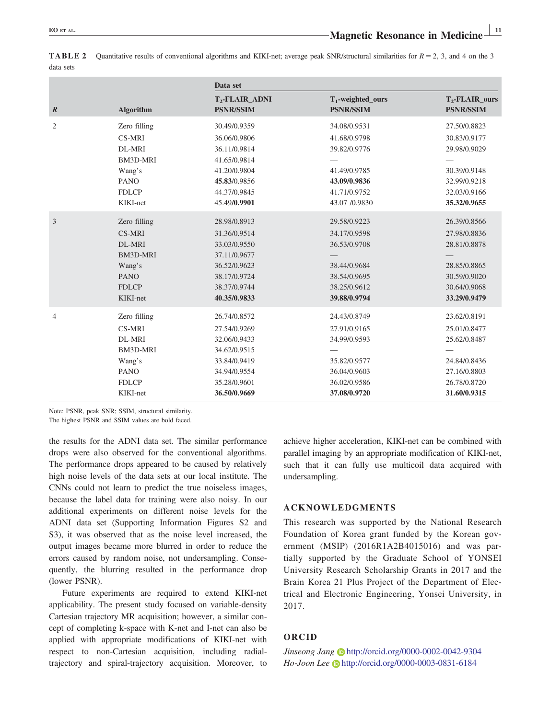|                  |                 | Data set                                       |                                          |                                       |  |
|------------------|-----------------|------------------------------------------------|------------------------------------------|---------------------------------------|--|
| $\boldsymbol{R}$ | Algorithm       | T <sub>2</sub> -FLAIR_ADNI<br><b>PSNR/SSIM</b> | $T_1$ -weighted_ours<br><b>PSNR/SSIM</b> | $T_2$ -FLAIR_ours<br><b>PSNR/SSIM</b> |  |
| $\overline{2}$   | Zero filling    | 30.49/0.9359                                   | 34.08/0.9531                             | 27.50/0.8823                          |  |
|                  | <b>CS-MRI</b>   | 36.06/0.9806                                   | 41.68/0.9798                             | 30.83/0.9177                          |  |
|                  | DL-MRI          | 36.11/0.9814                                   | 39.82/0.9776                             | 29.98/0.9029                          |  |
|                  | <b>BM3D-MRI</b> | 41.65/0.9814                                   |                                          |                                       |  |
|                  | Wang's          | 41.20/0.9804                                   | 41.49/0.9785                             | 30.39/0.9148                          |  |
|                  | <b>PANO</b>     | 45.83/0.9856                                   | 43.09/0.9836                             | 32.99/0.9218                          |  |
|                  | <b>FDLCP</b>    | 44.37/0.9845                                   | 41.71/0.9752                             | 32.03/0.9166                          |  |
|                  | KIKI-net        | 45.49/0.9901                                   | 43.07 /0.9830                            | 35.32/0.9655                          |  |
| 3                | Zero filling    | 28.98/0.8913                                   | 29.58/0.9223                             | 26.39/0.8566                          |  |
|                  | <b>CS-MRI</b>   | 31.36/0.9514                                   | 34.17/0.9598                             | 27.98/0.8836                          |  |
|                  | DL-MRI          | 33.03/0.9550                                   | 36.53/0.9708                             | 28.81/0.8878                          |  |
|                  | BM3D-MRI        | 37.11/0.9677                                   |                                          |                                       |  |
|                  | Wang's          | 36.52/0.9623                                   | 38.44/0.9684                             | 28.85/0.8865                          |  |
|                  | <b>PANO</b>     | 38.17/0.9724                                   | 38.54/0.9695                             | 30.59/0.9020                          |  |
|                  | <b>FDLCP</b>    | 38.37/0.9744                                   | 38.25/0.9612                             | 30.64/0.9068                          |  |
|                  | KIKI-net        | 40.35/0.9833                                   | 39.88/0.9794                             | 33.29/0.9479                          |  |
| $\overline{4}$   | Zero filling    | 26.74/0.8572                                   | 24.43/0.8749                             | 23.62/0.8191                          |  |
|                  | <b>CS-MRI</b>   | 27.54/0.9269                                   | 27.91/0.9165                             | 25.01/0.8477                          |  |
|                  | DL-MRI          | 32.06/0.9433                                   | 34.99/0.9593                             | 25.62/0.8487                          |  |
|                  | BM3D-MRI        | 34.62/0.9515                                   |                                          |                                       |  |
|                  | Wang's          | 33.84/0.9419                                   | 35.82/0.9577                             | 24.84/0.8436                          |  |
|                  | <b>PANO</b>     | 34.94/0.9554                                   | 36.04/0.9603                             | 27.16/0.8803                          |  |
|                  | <b>FDLCP</b>    | 35.28/0.9601                                   | 36.02/0.9586                             | 26.78/0.8720                          |  |
|                  | KIKI-net        | 36.50/0.9669                                   | 37.08/0.9720                             | 31.60/0.9315                          |  |

**TABLE 2** Quantitative results of conventional algorithms and KIKI-net; average peak SNR/structural similarities for  $R = 2$ , 3, and 4 on the 3 data sets

Note: PSNR, peak SNR; SSIM, structural similarity.

The highest PSNR and SSIM values are bold faced.

the results for the ADNI data set. The similar performance drops were also observed for the conventional algorithms. The performance drops appeared to be caused by relatively high noise levels of the data sets at our local institute. The CNNs could not learn to predict the true noiseless images, because the label data for training were also noisy. In our additional experiments on different noise levels for the ADNI data set (Supporting Information Figures S2 and S3), it was observed that as the noise level increased, the output images became more blurred in order to reduce the errors caused by random noise, not undersampling. Consequently, the blurring resulted in the performance drop (lower PSNR).

Future experiments are required to extend KIKI-net applicability. The present study focused on variable-density Cartesian trajectory MR acquisition; however, a similar concept of completing k-space with K-net and I-net can also be applied with appropriate modifications of KIKI-net with respect to non-Cartesian acquisition, including radialtrajectory and spiral-trajectory acquisition. Moreover, to

achieve higher acceleration, KIKI-net can be combined with parallel imaging by an appropriate modification of KIKI-net, such that it can fully use multicoil data acquired with undersampling.

#### ACKNOWLEDGMENTS

This research was supported by the National Research Foundation of Korea grant funded by the Korean government (MSIP) (2016R1A2B4015016) and was partially supported by the Graduate School of YONSEI University Research Scholarship Grants in 2017 and the Brain Korea 21 Plus Project of the Department of Electrical and Electronic Engineering, Yonsei University, in 2017.

#### ORCID

Jinseong Jang <http://orcid.org/0000-0002-0042-9304> Ho-Joon Lee <http://orcid.org/0000-0003-0831-6184>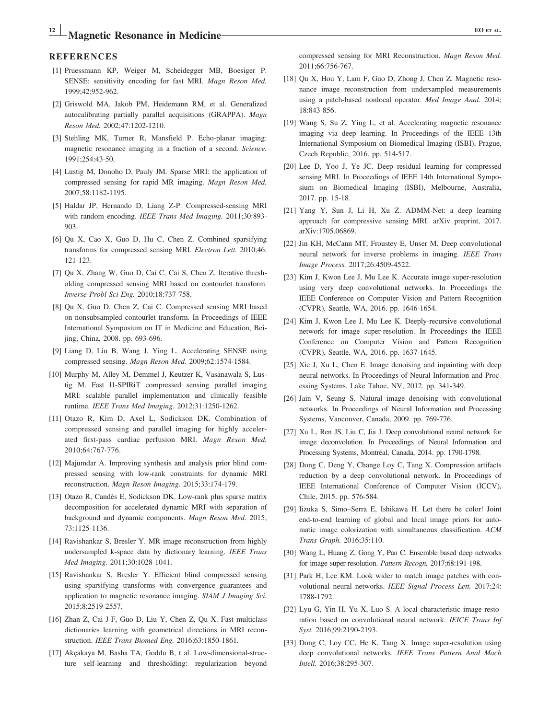# Magnetic Resonance in Medicine EQ ET AL.

#### **REFERENCES**

- [1] Pruessmann KP, Weiger M, Scheidegger MB, Boesiger P. SENSE: sensitivity encoding for fast MRI. Magn Reson Med. 1999;42:952-962.
- [2] Griswold MA, Jakob PM, Heidemann RM, et al. Generalized autocalibrating partially parallel acquisitions (GRAPPA). Magn Reson Med. 2002;47:1202-1210.
- [3] Stehling MK, Turner R, Mansfield P. Echo-planar imaging: magnetic resonance imaging in a fraction of a second. Science. 1991;254:43-50.
- [4] Lustig M, Donoho D, Pauly JM. Sparse MRI: the application of compressed sensing for rapid MR imaging. Magn Reson Med. 2007;58:1182-1195.
- [5] Haldar JP, Hernando D, Liang Z-P. Compressed-sensing MRI with random encoding. IEEE Trans Med Imaging. 2011;30:893- 903.
- [6] Qu X, Cao X, Guo D, Hu C, Chen Z. Combined sparsifying transforms for compressed sensing MRI. Electron Lett. 2010;46: 121-123.
- [7] Qu X, Zhang W, Guo D, Cai C, Cai S, Chen Z. Iterative thresholding compressed sensing MRI based on contourlet transform. Inverse Probl Sci Eng. 2010;18:737-758.
- [8] Qu X, Guo D, Chen Z, Cai C. Compressed sensing MRI based on nonsubsampled contourlet transform. In Proceedings of IEEE International Symposium on IT in Medicine and Education, Beijing, China, 2008. pp. 693-696.
- [9] Liang D, Liu B, Wang J, Ying L. Accelerating SENSE using compressed sensing. Magn Reson Med. 2009;62:1574-1584.
- [10] Murphy M, Alley M, Demmel J, Keutzer K, Vasanawala S, Lustig M. Fast l1-SPIRiT compressed sensing parallel imaging MRI: scalable parallel implementation and clinically feasible runtime. IEEE Trans Med Imaging. 2012;31:1250-1262.
- [11] Otazo R, Kim D, Axel L, Sodickson DK. Combination of compressed sensing and parallel imaging for highly accelerated first-pass cardiac perfusion MRI. Magn Reson Med. 2010;64:767-776.
- [12] Majumdar A. Improving synthesis and analysis prior blind compressed sensing with low-rank constraints for dynamic MRI reconstruction. Magn Reson Imaging. 2015;33:174-179.
- [13] Otazo R, Candès E, Sodickson DK. Low-rank plus sparse matrix decomposition for accelerated dynamic MRI with separation of background and dynamic components. Magn Reson Med. 2015; 73:1125-1136.
- [14] Ravishankar S, Bresler Y. MR image reconstruction from highly undersampled k-space data by dictionary learning. IEEE Trans Med Imaging. 2011;30:1028-1041.
- [15] Ravishankar S, Bresler Y. Efficient blind compressed sensing using sparsifying transforms with convergence guarantees and application to magnetic resonance imaging. SIAM J Imaging Sci. 2015;8:2519-2557.
- [16] Zhan Z, Cai J-F, Guo D, Liu Y, Chen Z, Qu X. Fast multiclass dictionaries learning with geometrical directions in MRI reconstruction. IEEE Trans Biomed Eng. 2016;63:1850-1861.
- [17] Akçakaya M, Basha TA, Goddu B, t al. Low-dimensional-structure self-learning and thresholding: regularization beyond

compressed sensing for MRI Reconstruction. Magn Reson Med. 2011;66:756-767.

- [18] Qu X, Hou Y, Lam F, Guo D, Zhong J, Chen Z. Magnetic resonance image reconstruction from undersampled measurements using a patch-based nonlocal operator. Med Image Anal. 2014; 18:843-856.
- [19] Wang S, Su Z, Ying L, et al. Accelerating magnetic resonance imaging via deep learning. In Proceedings of the IEEE 13th International Symposium on Biomedical Imaging (ISBI), Prague, Czech Republic, 2016. pp. 514-517.
- [20] Lee D, Yoo J, Ye JC. Deep residual learning for compressed sensing MRI. In Proceedings of IEEE 14th International Symposium on Biomedical Imaging (ISBI), Melbourne, Australia, 2017. pp. 15-18.
- [21] Yang Y, Sun J, Li H, Xu Z. ADMM-Net: a deep learning approach for compressive sensing MRI. arXiv preprint, 2017. arXiv:1705.06869.
- [22] Jin KH, McCann MT, Froustey E, Unser M. Deep convolutional neural network for inverse problems in imaging. IEEE Trans Image Process. 2017;26:4509-4522.
- [23] Kim J, Kwon Lee J, Mu Lee K. Accurate image super-resolution using very deep convolutional networks. In Proceedings the IEEE Conference on Computer Vision and Pattern Recognition (CVPR), Seattle, WA, 2016. pp. 1646-1654.
- [24] Kim J, Kwon Lee J, Mu Lee K. Deeply-recursive convolutional network for image super-resolution. In Proceedings the IEEE Conference on Computer Vision and Pattern Recognition (CVPR), Seattle, WA, 2016. pp. 1637-1645.
- [25] Xie J, Xu L, Chen E. Image denoising and inpainting with deep neural networks. In Proceedings of Neural Information and Processing Systems, Lake Tahoe, NV, 2012. pp. 341-349.
- [26] Jain V, Seung S. Natural image denoising with convolutional networks. In Proceedings of Neural Information and Processing Systems, Vancouver, Canada, 2009. pp. 769-776.
- [27] Xu L, Ren JS, Liu C, Jia J. Deep convolutional neural network for image deconvolution. In Proceedings of Neural Information and Processing Systems, Montréal, Canada, 2014. pp. 1790-1798.
- [28] Dong C, Deng Y, Change Loy C, Tang X. Compression artifacts reduction by a deep convolutional network. In Proceedings of IEEE International Conference of Computer Vision (ICCV), Chile, 2015. pp. 576-584.
- [29] Iizuka S, Simo–Serra E, Ishikawa H. Let there be color! Joint end-to-end learning of global and local image priors for automatic image colorization with simultaneous classification. ACM Trans Graph. 2016;35:110.
- [30] Wang L, Huang Z, Gong Y, Pan C. Ensemble based deep networks for image super-resolution. Pattern Recogn. 2017;68:191-198.
- [31] Park H, Lee KM. Look wider to match image patches with convolutional neural networks. IEEE Signal Process Lett. 2017;24: 1788-1792.
- [32] Lyu G, Yin H, Yu X, Luo S. A local characteristic image restoration based on convolutional neural network. IEICE Trans Inf Syst. 2016;99:2190-2193.
- [33] Dong C, Loy CC, He K, Tang X. Image super-resolution using deep convolutional networks. IEEE Trans Pattern Anal Mach Intell. 2016;38:295-307.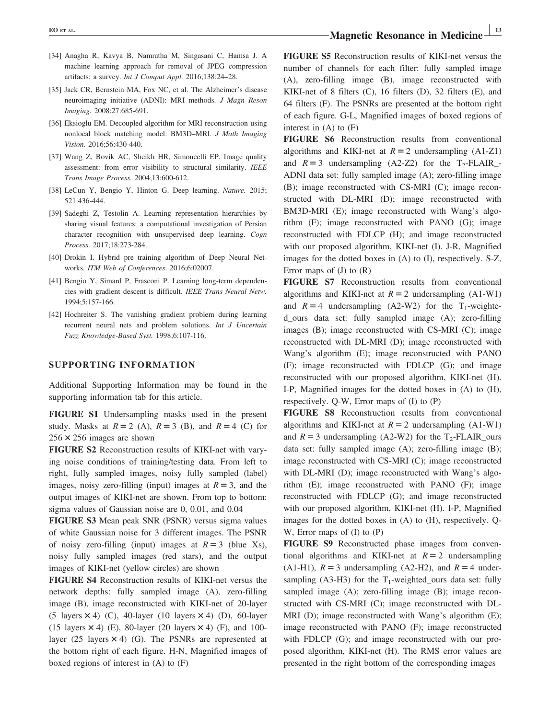- [34] Anagha R, Kavya B, Namratha M, Singasani C, Hamsa J. A machine learning approach for removal of JPEG compression artifacts: a survey. Int J Comput Appl. 2016;138:24–28.
- [35] Jack CR, Bernstein MA, Fox NC, et al. The Alzheimer's disease neuroimaging initiative (ADNI): MRI methods. J Magn Reson Imaging. 2008;27:685-691.
- [36] Eksioglu EM. Decoupled algorithm for MRI reconstruction using nonlocal block matching model: BM3D–MRI. J Math Imaging Vision. 2016;56:430-440.
- [37] Wang Z, Bovik AC, Sheikh HR, Simoncelli EP. Image quality assessment: from error visibility to structural similarity. IEEE Trans Image Process. 2004;13:600-612.
- [38] LeCun Y, Bengio Y, Hinton G. Deep learning. Nature. 2015; 521:436-444.
- [39] Sadeghi Z, Testolin A. Learning representation hierarchies by sharing visual features: a computational investigation of Persian character recognition with unsupervised deep learning. Cogn Process. 2017;18:273-284.
- [40] Drokin I. Hybrid pre training algorithm of Deep Neural Networks. ITM Web of Conferences. 2016;6:02007.
- [41] Bengio Y, Simard P, Frasconi P. Learning long-term dependencies with gradient descent is difficult. IEEE Trans Neural Netw. 1994;5:157-166.
- [42] Hochreiter S. The vanishing gradient problem during learning recurrent neural nets and problem solutions. Int J Uncertain Fuzz Knowledge-Based Syst. 1998;6:107-116.

#### SUPPORTING INFORMATION

Additional Supporting Information may be found in the supporting information tab for this article.

FIGURE S1 Undersampling masks used in the present study. Masks at  $R = 2$  (A),  $R = 3$  (B), and  $R = 4$  (C) for  $256 \times 256$  images are shown

FIGURE S2 Reconstruction results of KIKI-net with varying noise conditions of training/testing data. From left to right, fully sampled images, noisy fully sampled (label) images, noisy zero-filling (input) images at  $R = 3$ , and the output images of KIKI-net are shown. From top to bottom: sigma values of Gaussian noise are 0, 0.01, and 0.04

FIGURE S3 Mean peak SNR (PSNR) versus sigma values of white Gaussian noise for 3 different images. The PSNR of noisy zero-filling (input) images at  $R = 3$  (blue Xs), noisy fully sampled images (red stars), and the output images of KIKI-net (yellow circles) are shown

FIGURE S4 Reconstruction results of KIKI-net versus the network depths: fully sampled image (A), zero-filling image (B), image reconstructed with KIKI-net of 20-layer (5 layers  $\times$  4) (C), 40-layer (10 layers  $\times$  4) (D), 60-layer (15 layers  $\times$  4) (E), 80-layer (20 layers  $\times$  4) (F), and 100layer (25 layers  $\times$  4) (G). The PSNRs are represented at the bottom right of each figure. H-N, Magnified images of boxed regions of interest in (A) to (F)

FIGURE S5 Reconstruction results of KIKI-net versus the number of channels for each filter: fully sampled image (A), zero-filling image (B), image reconstructed with KIKI-net of 8 filters (C), 16 filters (D), 32 filters (E), and 64 filters (F). The PSNRs are presented at the bottom right of each figure. G-L, Magnified images of boxed regions of interest in  $(A)$  to  $(F)$ 

FIGURE S6 Reconstruction results from conventional algorithms and KIKI-net at  $R = 2$  undersampling (A1-Z1) and  $R = 3$  undersampling (A2-Z2) for the T<sub>2</sub>-FLAIR\_-ADNI data set: fully sampled image (A); zero-filling image (B); image reconstructed with CS-MRI (C); image reconstructed with DL-MRI (D); image reconstructed with BM3D-MRI (E); image reconstructed with Wang's algorithm (F); image reconstructed with PANO (G); image reconstructed with FDLCP (H); and image reconstructed with our proposed algorithm, KIKI-net (I). J-R, Magnified images for the dotted boxes in (A) to (I), respectively. S-Z, Error maps of  $(J)$  to  $(R)$ 

FIGURE S7 Reconstruction results from conventional algorithms and KIKI-net at  $R = 2$  undersampling (A1-W1) and  $R = 4$  undersampling (A2-W2) for the T<sub>1</sub>-weighted\_ours data set: fully sampled image (A); zero-filling images (B); image reconstructed with CS-MRI (C); image reconstructed with DL-MRI (D); image reconstructed with Wang's algorithm (E); image reconstructed with PANO (F); image reconstructed with FDLCP (G); and image reconstructed with our proposed algorithm, KIKI-net (H). I-P, Magnified images for the dotted boxes in (A) to (H), respectively. Q-W, Error maps of (I) to (P)

FIGURE S8 Reconstruction results from conventional algorithms and KIKI-net at  $R = 2$  undersampling (A1-W1) and  $R = 3$  undersampling (A2-W2) for the T<sub>2</sub>-FLAIR\_ours data set: fully sampled image (A); zero-filling image (B); image reconstructed with CS-MRI (C); image reconstructed with DL-MRI (D); image reconstructed with Wang's algorithm (E); image reconstructed with PANO (F); image reconstructed with FDLCP (G); and image reconstructed with our proposed algorithm, KIKI-net (H). I-P, Magnified images for the dotted boxes in (A) to (H), respectively. Q-W, Error maps of (I) to (P)

FIGURE S9 Reconstructed phase images from conventional algorithms and KIKI-net at  $R = 2$  undersampling (A1-H1),  $R = 3$  undersampling (A2-H2), and  $R = 4$  undersampling (A3-H3) for the  $T_1$ -weighted ours data set: fully sampled image (A); zero-filling image (B); image reconstructed with CS-MRI (C); image reconstructed with DL-MRI (D); image reconstructed with Wang's algorithm (E); image reconstructed with PANO (F); image reconstructed with FDLCP (G); and image reconstructed with our proposed algorithm, KIKI-net (H). The RMS error values are presented in the right bottom of the corresponding images